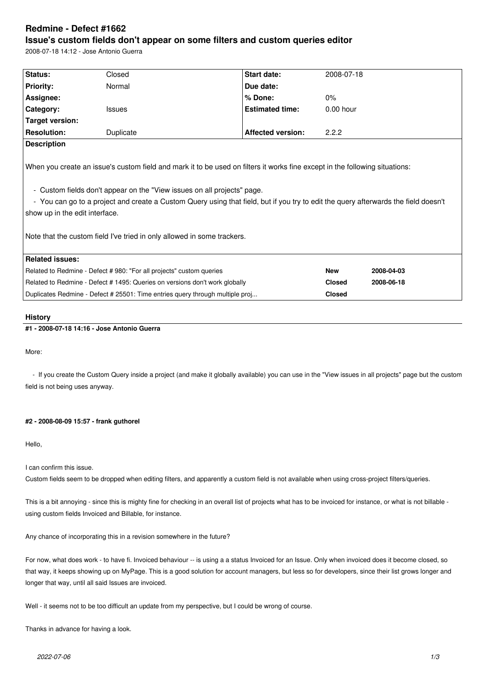# **Redmine - Defect #1662**

# **Issue's custom fields don't appear on some filters and custom queries editor**

2008-07-18 14:12 - Jose Antonio Guerra

| Status:                                                                                                                                                                                                                                                                                                                                                                                                                                                    | Closed        | Start date:              | 2008-07-18    |            |  |  |
|------------------------------------------------------------------------------------------------------------------------------------------------------------------------------------------------------------------------------------------------------------------------------------------------------------------------------------------------------------------------------------------------------------------------------------------------------------|---------------|--------------------------|---------------|------------|--|--|
| <b>Priority:</b>                                                                                                                                                                                                                                                                                                                                                                                                                                           | Normal        | Due date:                |               |            |  |  |
| Assignee:                                                                                                                                                                                                                                                                                                                                                                                                                                                  |               | % Done:                  | 0%            |            |  |  |
| Category:                                                                                                                                                                                                                                                                                                                                                                                                                                                  | <b>Issues</b> | <b>Estimated time:</b>   | $0.00$ hour   |            |  |  |
| Target version:                                                                                                                                                                                                                                                                                                                                                                                                                                            |               |                          |               |            |  |  |
| <b>Resolution:</b>                                                                                                                                                                                                                                                                                                                                                                                                                                         | Duplicate     | <b>Affected version:</b> | 2.2.2         |            |  |  |
| <b>Description</b>                                                                                                                                                                                                                                                                                                                                                                                                                                         |               |                          |               |            |  |  |
| When you create an issue's custom field and mark it to be used on filters it works fine except in the following situations:<br>- Custom fields don't appear on the "View issues on all projects" page.<br>- You can go to a project and create a Custom Query using that field, but if you try to edit the query afterwards the field doesn't<br>show up in the edit interface.<br>Note that the custom field I've tried in only allowed in some trackers. |               |                          |               |            |  |  |
| <b>Related issues:</b>                                                                                                                                                                                                                                                                                                                                                                                                                                     |               |                          | <b>New</b>    | 2008-04-03 |  |  |
| Related to Redmine - Defect # 980: "For all projects" custom queries                                                                                                                                                                                                                                                                                                                                                                                       |               |                          |               |            |  |  |
| Related to Redmine - Defect # 1495: Queries on versions don't work globally                                                                                                                                                                                                                                                                                                                                                                                |               |                          | <b>Closed</b> | 2008-06-18 |  |  |
| Duplicates Redmine - Defect # 25501: Time entries query through multiple proj                                                                                                                                                                                                                                                                                                                                                                              |               |                          | <b>Closed</b> |            |  |  |
|                                                                                                                                                                                                                                                                                                                                                                                                                                                            |               |                          |               |            |  |  |

#### **History**

# **#1 - 2008-07-18 14:16 - Jose Antonio Guerra**

More:

- If you create the Custom Query inside a project (and make it globally available) you can use in the "View issues in all projects" page but the custom field is not being uses anyway.

#### **#2 - 2008-08-09 15:57 - frank guthorel**

Hello,

I can confirm this issue.

Custom fields seem to be dropped when editing filters, and apparently a custom field is not available when using cross-project filters/queries.

This is a bit annoying - since this is mighty fine for checking in an overall list of projects what has to be invoiced for instance, or what is not billable using custom fields Invoiced and Billable, for instance.

Any chance of incorporating this in a revision somewhere in the future?

For now, what does work - to have fi. Invoiced behaviour -- is using a a status Invoiced for an Issue. Only when invoiced does it become closed, so that way, it keeps showing up on MyPage. This is a good solution for account managers, but less so for developers, since their list grows longer and longer that way, until all said Issues are invoiced.

Well - it seems not to be too difficult an update from my perspective, but I could be wrong of course.

Thanks in advance for having a look.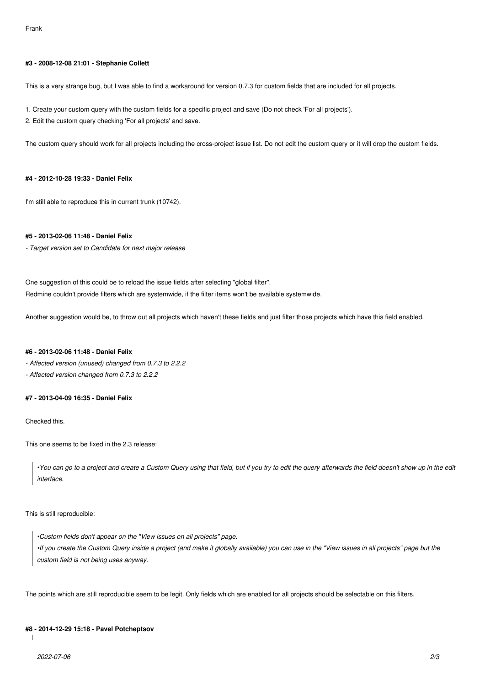#### **#3 - 2008-12-08 21:01 - Stephanie Collett**

This is a very strange bug, but I was able to find a workaround for version 0.7.3 for custom fields that are included for all projects.

- 1. Create your custom query with the custom fields for a specific project and save (Do not check 'For all projects').
- 2. Edit the custom query checking 'For all projects' and save.

The custom query should work for all projects including the cross-project issue list. Do not edit the custom query or it will drop the custom fields.

#### **#4 - 2012-10-28 19:33 - Daniel Felix**

I'm still able to reproduce this in current trunk (10742).

# **#5 - 2013-02-06 11:48 - Daniel Felix**

*- Target version set to Candidate for next major release*

One suggestion of this could be to reload the issue fields after selecting "global filter". Redmine couldn't provide filters which are systemwide, if the filter items won't be available systemwide.

Another suggestion would be, to throw out all projects which haven't these fields and just filter those projects which have this field enabled.

#### **#6 - 2013-02-06 11:48 - Daniel Felix**

*- Affected version (unused) changed from 0.7.3 to 2.2.2*

*- Affected version changed from 0.7.3 to 2.2.2*

#### **#7 - 2013-04-09 16:35 - Daniel Felix**

Checked this.

This one seems to be fixed in the 2.3 release:

*•You can go to a project and create a Custom Query using that field, but if you try to edit the query afterwards the field doesn't show up in the edit interface.*

This is still reproducible:

*•Custom fields don't appear on the "View issues on all projects" page. •If you create the Custom Query inside a project (and make it globally available) you can use in the "View issues in all projects" page but the custom field is not being uses anyway.*

The points which are still reproducible seem to be legit. Only fields which are enabled for all projects should be selectable on this filters.

### **#8 - 2014-12-29 15:18 - Pavel Potcheptsov**